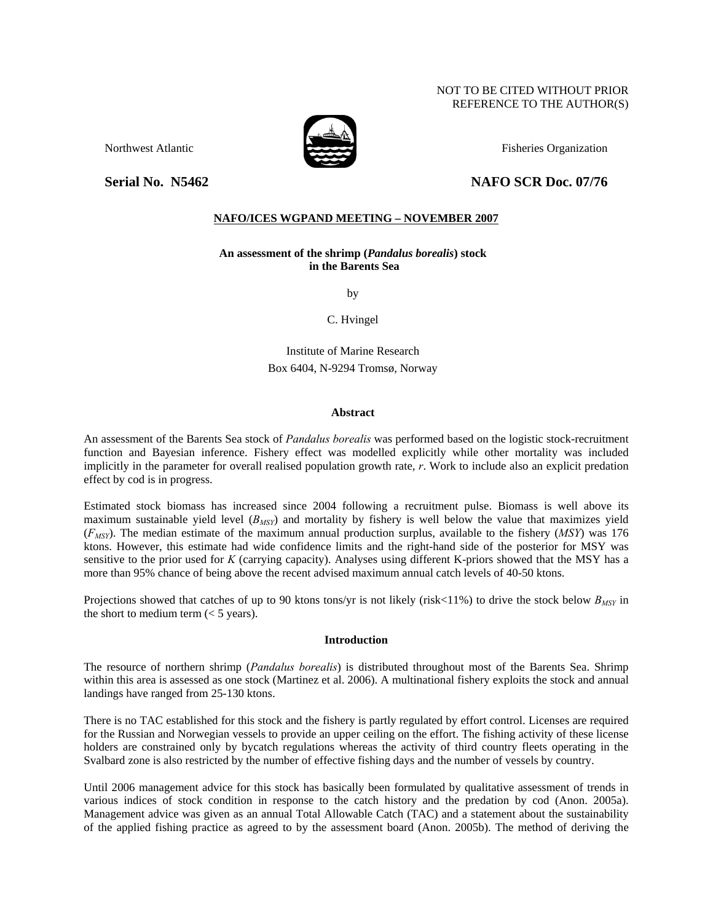# NOT TO BE CITED WITHOUT PRIOR REFERENCE TO THE AUTHOR(S)

Northwest Atlantic **Fisheries Organization** Fisheries Organization

# **Serial No. 35462** NAFO SCR Doc. 07/76

# **NAFO/ICES WGPAND MEETING – NOVEMBER 2007**

**An assessment of the shrimp (***Pandalus borealis***) stock in the Barents Sea** 

by

C. Hvingel

Institute of Marine Research Box 6404, N-9294 Tromsø, Norway

# **Abstract**

An assessment of the Barents Sea stock of *Pandalus borealis* was performed based on the logistic stock-recruitment function and Bayesian inference. Fishery effect was modelled explicitly while other mortality was included implicitly in the parameter for overall realised population growth rate, *r*. Work to include also an explicit predation effect by cod is in progress.

Estimated stock biomass has increased since 2004 following a recruitment pulse. Biomass is well above its maximum sustainable yield level (*B<sub>MSY</sub>*) and mortality by fishery is well below the value that maximizes yield (*FMSY*). The median estimate of the maximum annual production surplus, available to the fishery (*MSY*) was 176 ktons. However, this estimate had wide confidence limits and the right-hand side of the posterior for MSY was sensitive to the prior used for *K* (carrying capacity). Analyses using different K-priors showed that the MSY has a more than 95% chance of being above the recent advised maximum annual catch levels of 40-50 ktons.

Projections showed that catches of up to 90 ktons tons/yr is not likely (risk<11%) to drive the stock below  $B_{MSY}$  in the short to medium term  $(< 5$  years).

# **Introduction**

The resource of northern shrimp (*Pandalus borealis*) is distributed throughout most of the Barents Sea. Shrimp within this area is assessed as one stock (Martinez et al. 2006). A multinational fishery exploits the stock and annual landings have ranged from 25-130 ktons.

There is no TAC established for this stock and the fishery is partly regulated by effort control. Licenses are required for the Russian and Norwegian vessels to provide an upper ceiling on the effort. The fishing activity of these license holders are constrained only by bycatch regulations whereas the activity of third country fleets operating in the Svalbard zone is also restricted by the number of effective fishing days and the number of vessels by country.

Until 2006 management advice for this stock has basically been formulated by qualitative assessment of trends in various indices of stock condition in response to the catch history and the predation by cod (Anon. 2005a). Management advice was given as an annual Total Allowable Catch (TAC) and a statement about the sustainability of the applied fishing practice as agreed to by the assessment board (Anon. 2005b). The method of deriving the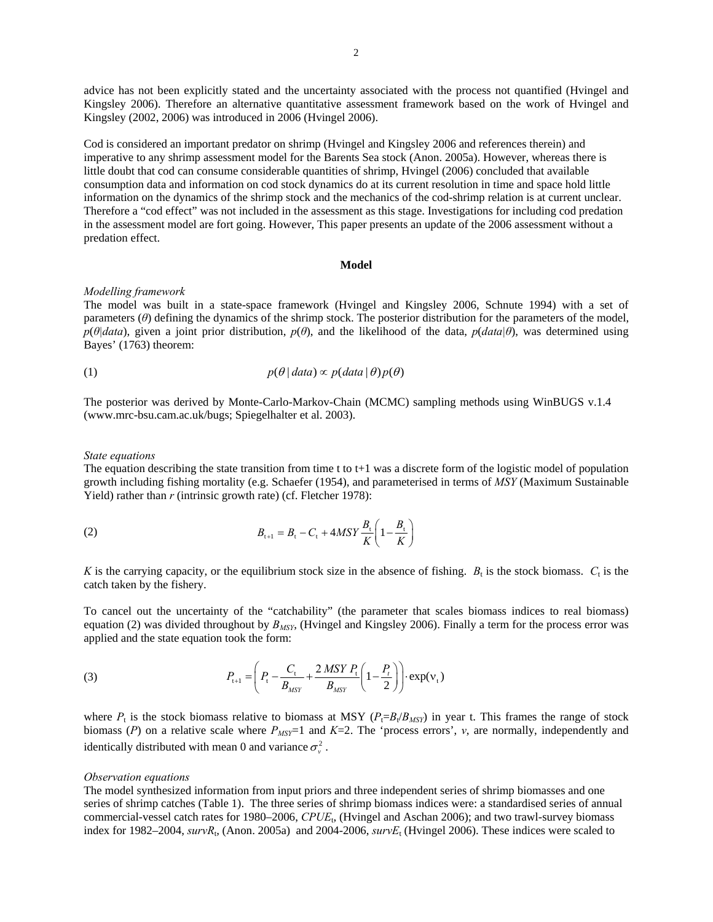advice has not been explicitly stated and the uncertainty associated with the process not quantified (Hvingel and Kingsley 2006). Therefore an alternative quantitative assessment framework based on the work of Hvingel and Kingsley (2002, 2006) was introduced in 2006 (Hvingel 2006).

Cod is considered an important predator on shrimp (Hvingel and Kingsley 2006 and references therein) and imperative to any shrimp assessment model for the Barents Sea stock (Anon. 2005a). However, whereas there is little doubt that cod can consume considerable quantities of shrimp, Hvingel (2006) concluded that available consumption data and information on cod stock dynamics do at its current resolution in time and space hold little information on the dynamics of the shrimp stock and the mechanics of the cod-shrimp relation is at current unclear. Therefore a "cod effect" was not included in the assessment as this stage. Investigations for including cod predation in the assessment model are fort going. However, This paper presents an update of the 2006 assessment without a predation effect.

#### **Model**

#### *Modelling framework*

The model was built in a state-space framework (Hvingel and Kingsley 2006, Schnute 1994) with a set of parameters (*θ*) defining the dynamics of the shrimp stock. The posterior distribution for the parameters of the model, *p*(*θ|data*), given a joint prior distribution, *p*(*θ*), and the likelihood of the data, *p*(*data|θ*), was determined using Bayes' (1763) theorem:

(1) 
$$
p(\theta | data) \propto p(data | \theta) p(\theta)
$$

The posterior was derived by Monte-Carlo-Markov-Chain (MCMC) sampling methods using WinBUGS v.1.4 (www.mrc-bsu.cam.ac.uk/bugs; Spiegelhalter et al. 2003).

### *State equations*

The equation describing the state transition from time t to  $t+1$  was a discrete form of the logistic model of population growth including fishing mortality (e.g. Schaefer (1954), and parameterised in terms of *MSY* (Maximum Sustainable Yield) rather than *r* (intrinsic growth rate) (cf. Fletcher 1978):

(2) 
$$
B_{t+1} = B_t - C_t + 4MSY \frac{B_t}{K} \left( 1 - \frac{B_t}{K} \right)
$$

*K* is the carrying capacity, or the equilibrium stock size in the absence of fishing.  $B_t$  is the stock biomass.  $C_t$  is the catch taken by the fishery.

To cancel out the uncertainty of the "catchability" (the parameter that scales biomass indices to real biomass) equation (2) was divided throughout by *BMSY*, (Hvingel and Kingsley 2006). Finally a term for the process error was applied and the state equation took the form:

(3) 
$$
P_{t+1} = \left(P_t - \frac{C_t}{B_{MSY}} + \frac{2 \, MSY \, P_t}{B_{MSY}} \left(1 - \frac{P_t}{2}\right)\right) \cdot \exp(v_t)
$$

where  $P_t$  is the stock biomass relative to biomass at MSY ( $P_t = B_t/B_{MSV}$ ) in year t. This frames the range of stock biomass (*P*) on a relative scale where  $P_{MST}$ =1 and *K*=2. The 'process errors', *v*, are normally, independently and identically distributed with mean 0 and variance  $\sigma_v^2$ .

#### *Observation equations*

The model synthesized information from input priors and three independent series of shrimp biomasses and one series of shrimp catches (Table 1). The three series of shrimp biomass indices were: a standardised series of annual commercial-vessel catch rates for 1980–2006, *CPUE*<sub>t</sub>, (Hvingel and Aschan 2006); and two trawl-survey biomass index for 1982–2004, *survR*<sub>t</sub>, (Anon. 2005a) and 2004-2006, *survE*<sub>t</sub> (Hvingel 2006). These indices were scaled to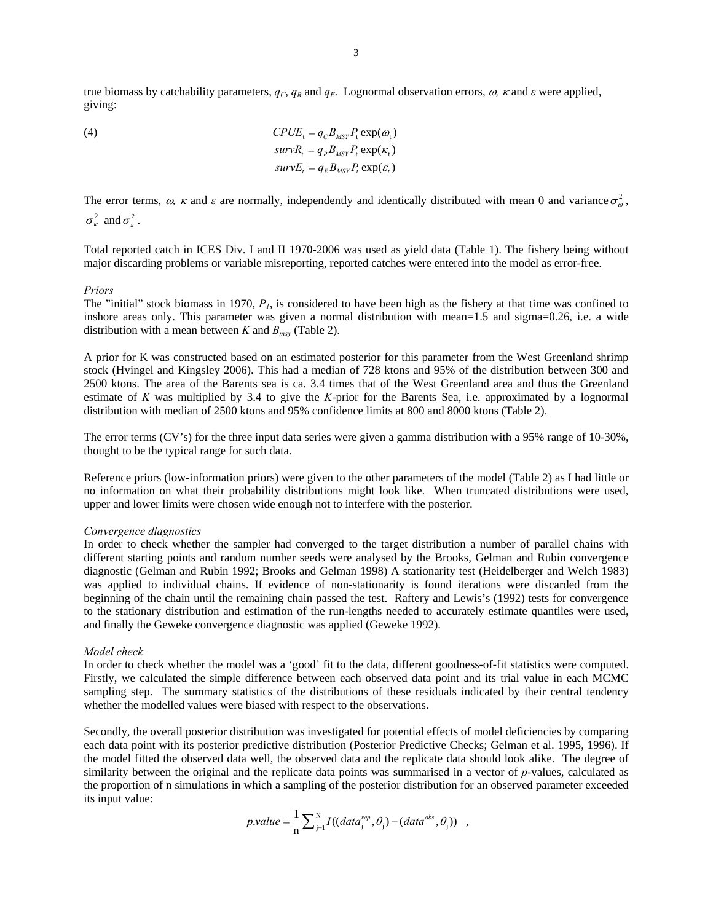true biomass by catchability parameters,  $q_c$ ,  $q_R$  and  $q_E$ . Lognormal observation errors,  $\omega$ ,  $\kappa$  and  $\varepsilon$  were applied, giving:

(4) 
$$
CPUE_t = q_C B_{MSY} P_t \exp(\omega_t)
$$

$$
survR_t = q_R B_{MSY} P_t \exp(\kappa_t)
$$

$$
survE_t = q_E B_{MSY} P_t \exp(\varepsilon_t)
$$

The error terms,  $\omega$ ,  $\kappa$  and  $\varepsilon$  are normally, independently and identically distributed with mean 0 and variance  $\sigma_{\omega}^2$ ,  $\sigma_{\kappa}^2$  and  $\sigma_{\kappa}^2$ .

Total reported catch in ICES Div. I and II 1970-2006 was used as yield data (Table 1). The fishery being without major discarding problems or variable misreporting, reported catches were entered into the model as error-free.

#### *Priors*

The "initial" stock biomass in 1970,  $P<sub>l</sub>$ , is considered to have been high as the fishery at that time was confined to inshore areas only. This parameter was given a normal distribution with mean=1.5 and sigma=0.26, i.e. a wide distribution with a mean between *K* and  $B_{msy}$  (Table 2).

A prior for K was constructed based on an estimated posterior for this parameter from the West Greenland shrimp stock (Hvingel and Kingsley 2006). This had a median of 728 ktons and 95% of the distribution between 300 and 2500 ktons. The area of the Barents sea is ca. 3.4 times that of the West Greenland area and thus the Greenland estimate of *K* was multiplied by 3.4 to give the *K*-prior for the Barents Sea, i.e. approximated by a lognormal distribution with median of 2500 ktons and 95% confidence limits at 800 and 8000 ktons (Table 2).

The error terms (CV's) for the three input data series were given a gamma distribution with a 95% range of 10-30%, thought to be the typical range for such data.

Reference priors (low-information priors) were given to the other parameters of the model (Table 2) as I had little or no information on what their probability distributions might look like. When truncated distributions were used, upper and lower limits were chosen wide enough not to interfere with the posterior.

#### *Convergence diagnostics*

In order to check whether the sampler had converged to the target distribution a number of parallel chains with different starting points and random number seeds were analysed by the Brooks, Gelman and Rubin convergence diagnostic (Gelman and Rubin 1992; Brooks and Gelman 1998) A stationarity test (Heidelberger and Welch 1983) was applied to individual chains. If evidence of non-stationarity is found iterations were discarded from the beginning of the chain until the remaining chain passed the test. Raftery and Lewis's (1992) tests for convergence to the stationary distribution and estimation of the run-lengths needed to accurately estimate quantiles were used, and finally the Geweke convergence diagnostic was applied (Geweke 1992).

#### *Model check*

In order to check whether the model was a 'good' fit to the data, different goodness-of-fit statistics were computed. Firstly, we calculated the simple difference between each observed data point and its trial value in each MCMC sampling step. The summary statistics of the distributions of these residuals indicated by their central tendency whether the modelled values were biased with respect to the observations.

Secondly, the overall posterior distribution was investigated for potential effects of model deficiencies by comparing each data point with its posterior predictive distribution (Posterior Predictive Checks; Gelman et al. 1995, 1996). If the model fitted the observed data well, the observed data and the replicate data should look alike. The degree of similarity between the original and the replicate data points was summarised in a vector of *p*-values, calculated as the proportion of n simulations in which a sampling of the posterior distribution for an observed parameter exceeded its input value:

$$
p.value = \frac{1}{n} \sum_{j=1}^{N} I((data_j^{rep}, \theta_j) - (data^{obs}, \theta_j)) ,
$$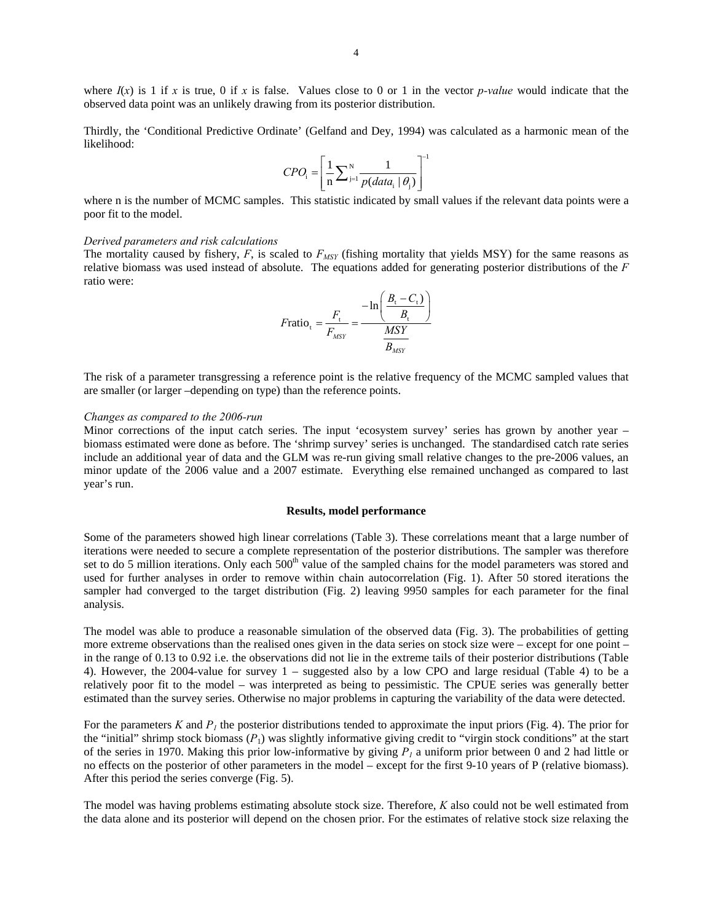where  $I(x)$  is 1 if *x* is true, 0 if *x* is false. Values close to 0 or 1 in the vector *p*-value would indicate that the observed data point was an unlikely drawing from its posterior distribution.

Thirdly, the 'Conditional Predictive Ordinate' (Gelfand and Dey, 1994) was calculated as a harmonic mean of the likelihood:  $\Gamma$ 

$$
CPO_{i} = \left[\frac{1}{n}\sum_{j=1}^{N} \frac{1}{p(data_{i} | \theta_{j})}\right]^{-1}
$$

where n is the number of MCMC samples. This statistic indicated by small values if the relevant data points were a poor fit to the model.

#### *Derived parameters and risk calculations*

The mortality caused by fishery,  $F$ , is scaled to  $F_{MSY}$  (fishing mortality that yields MSY) for the same reasons as relative biomass was used instead of absolute. The equations added for generating posterior distributions of the *F* ratio were:

$$
F \text{ratio}_{t} = \frac{F_{t}}{F_{MSY}} = \frac{-\ln\left(\frac{B_{t} - C_{t}}{B_{t}}\right)}{\frac{MSY}{B_{MSY}}}
$$

The risk of a parameter transgressing a reference point is the relative frequency of the MCMC sampled values that are smaller (or larger –depending on type) than the reference points.

#### *Changes as compared to the 2006-run*

Minor corrections of the input catch series. The input 'ecosystem survey' series has grown by another year – biomass estimated were done as before. The 'shrimp survey' series is unchanged. The standardised catch rate series include an additional year of data and the GLM was re-run giving small relative changes to the pre-2006 values, an minor update of the 2006 value and a 2007 estimate. Everything else remained unchanged as compared to last year's run.

### **Results, model performance**

Some of the parameters showed high linear correlations (Table 3). These correlations meant that a large number of iterations were needed to secure a complete representation of the posterior distributions. The sampler was therefore set to do 5 million iterations. Only each 500<sup>th</sup> value of the sampled chains for the model parameters was stored and used for further analyses in order to remove within chain autocorrelation (Fig. 1). After 50 stored iterations the sampler had converged to the target distribution (Fig. 2) leaving 9950 samples for each parameter for the final analysis.

The model was able to produce a reasonable simulation of the observed data (Fig. 3). The probabilities of getting more extreme observations than the realised ones given in the data series on stock size were – except for one point – in the range of 0.13 to 0.92 i.e. the observations did not lie in the extreme tails of their posterior distributions (Table 4). However, the 2004-value for survey 1 – suggested also by a low CPO and large residual (Table 4) to be a relatively poor fit to the model – was interpreted as being to pessimistic. The CPUE series was generally better estimated than the survey series. Otherwise no major problems in capturing the variability of the data were detected.

For the parameters K and  $P<sub>l</sub>$  the posterior distributions tended to approximate the input priors (Fig. 4). The prior for the "initial" shrimp stock biomass  $(P_1)$  was slightly informative giving credit to "virgin stock conditions" at the start of the series in 1970. Making this prior low-informative by giving  $P_1$  a uniform prior between 0 and 2 had little or no effects on the posterior of other parameters in the model – except for the first 9-10 years of P (relative biomass). After this period the series converge (Fig. 5).

The model was having problems estimating absolute stock size. Therefore, *K* also could not be well estimated from the data alone and its posterior will depend on the chosen prior. For the estimates of relative stock size relaxing the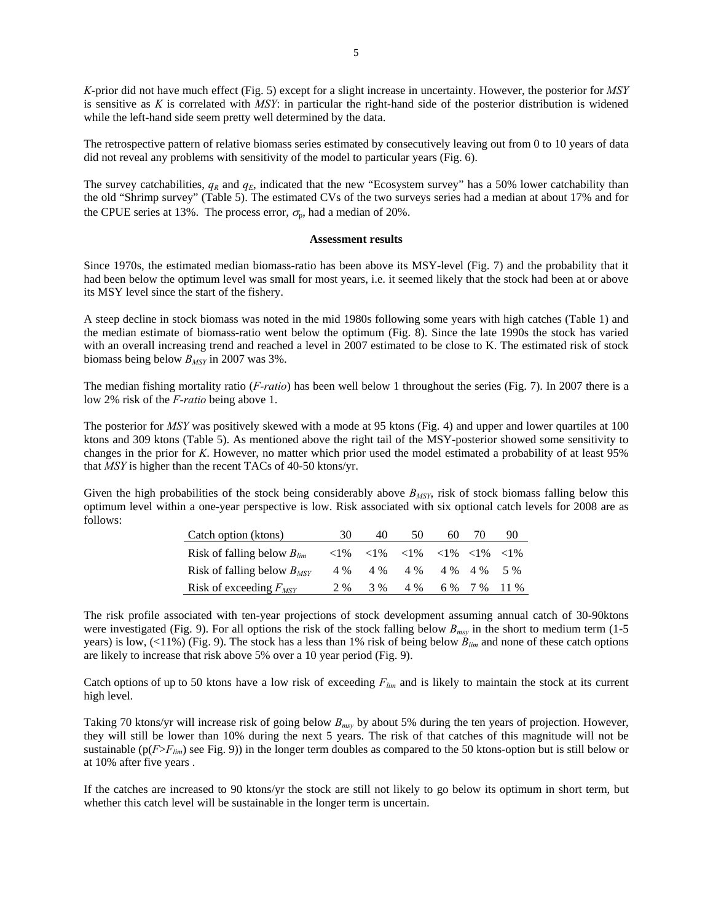*K*-prior did not have much effect (Fig. 5) except for a slight increase in uncertainty. However, the posterior for *MSY* is sensitive as *K* is correlated with *MSY*: in particular the right-hand side of the posterior distribution is widened while the left-hand side seem pretty well determined by the data.

The retrospective pattern of relative biomass series estimated by consecutively leaving out from 0 to 10 years of data did not reveal any problems with sensitivity of the model to particular years (Fig. 6).

The survey catchabilities,  $q_R$  and  $q_E$ , indicated that the new "Ecosystem survey" has a 50% lower catchability than the old "Shrimp survey" (Table 5). The estimated CVs of the two surveys series had a median at about 17% and for the CPUE series at 13%. The process error,  $\sigma_p$ , had a median of 20%.

#### **Assessment results**

Since 1970s, the estimated median biomass-ratio has been above its MSY-level (Fig. 7) and the probability that it had been below the optimum level was small for most years, i.e. it seemed likely that the stock had been at or above its MSY level since the start of the fishery.

A steep decline in stock biomass was noted in the mid 1980s following some years with high catches (Table 1) and the median estimate of biomass-ratio went below the optimum (Fig. 8). Since the late 1990s the stock has varied with an overall increasing trend and reached a level in 2007 estimated to be close to K. The estimated risk of stock biomass being below *BMSY* in 2007 was 3%.

The median fishing mortality ratio (*F-ratio*) has been well below 1 throughout the series (Fig. 7). In 2007 there is a low 2% risk of the *F-ratio* being above 1.

The posterior for *MSY* was positively skewed with a mode at 95 ktons (Fig. 4) and upper and lower quartiles at 100 ktons and 309 ktons (Table 5). As mentioned above the right tail of the MSY-posterior showed some sensitivity to changes in the prior for *K*. However, no matter which prior used the model estimated a probability of at least 95% that *MSY* is higher than the recent TACs of 40-50 ktons/yr.

Given the high probabilities of the stock being considerably above  $B_{MSY}$ , risk of stock biomass falling below this optimum level within a one-year perspective is low. Risk associated with six optional catch levels for 2008 are as follows:

| Catch option (ktons)            | 30       | 40  | 50                                                                                                            | 60 | 70           | 90    |
|---------------------------------|----------|-----|---------------------------------------------------------------------------------------------------------------|----|--------------|-------|
| Risk of falling below $B_{lim}$ | ${<}1\%$ |     | $\langle 1\% \rangle$ $\langle 1\% \rangle$ $\langle 1\% \rangle$ $\langle 1\% \rangle$ $\langle 1\% \rangle$ |    |              |       |
| Risk of falling below $B_{MSY}$ | 4 %      |     | $4\%$ $4\%$ $4\%$ $4\%$                                                                                       |    |              | $5\%$ |
| Risk of exceeding $F_{MSY}$     | 2%       | 3 % | 4 %                                                                                                           |    | 6 % 7 % 11 % |       |

The risk profile associated with ten-year projections of stock development assuming annual catch of 30-90ktons were investigated (Fig. 9). For all options the risk of the stock falling below *Bmsy* in the short to medium term (1-5 years) is low, (<11%) (Fig. 9). The stock has a less than 1% risk of being below *Blim* and none of these catch options are likely to increase that risk above 5% over a 10 year period (Fig. 9).

Catch options of up to 50 ktons have a low risk of exceeding *Flim* and is likely to maintain the stock at its current high level.

Taking 70 ktons/yr will increase risk of going below *Bmsy* by about 5% during the ten years of projection. However, they will still be lower than 10% during the next 5 years. The risk of that catches of this magnitude will not be sustainable ( $p(F>F_{lim})$ ) see Fig. 9)) in the longer term doubles as compared to the 50 ktons-option but is still below or at 10% after five years .

If the catches are increased to 90 ktons/yr the stock are still not likely to go below its optimum in short term, but whether this catch level will be sustainable in the longer term is uncertain.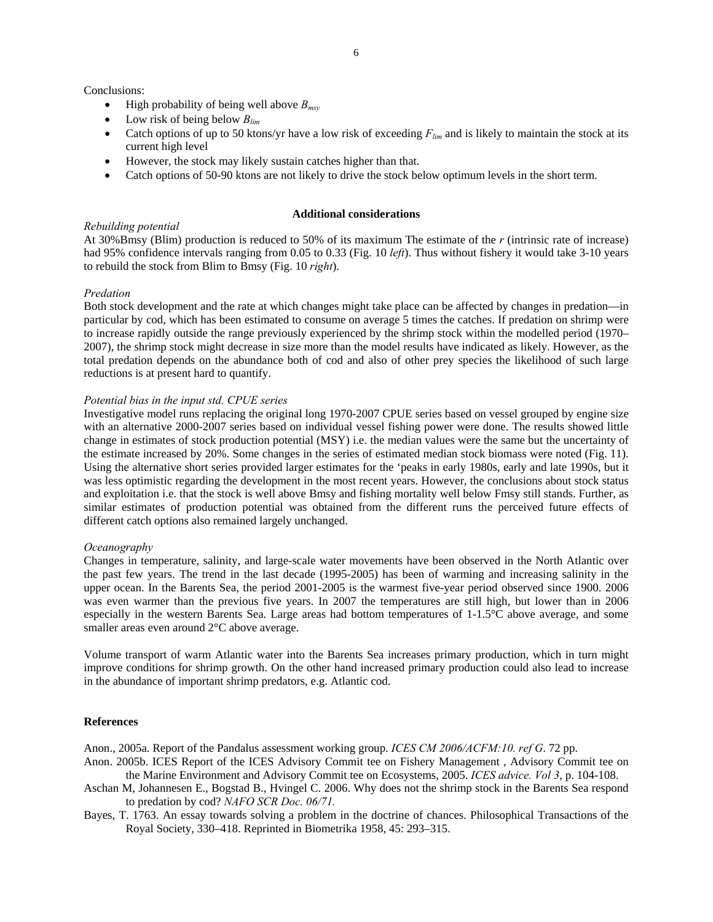Conclusions:

- High probability of being well above *Bmsy*
- Low risk of being below *Blim*
- Catch options of up to 50 ktons/yr have a low risk of exceeding  $F_{lim}$  and is likely to maintain the stock at its current high level
- However, the stock may likely sustain catches higher than that.
- Catch options of 50-90 ktons are not likely to drive the stock below optimum levels in the short term.

#### **Additional considerations**

## *Rebuilding potential*

At 30%Bmsy (Blim) production is reduced to 50% of its maximum The estimate of the *r* (intrinsic rate of increase) had 95% confidence intervals ranging from 0.05 to 0.33 (Fig. 10 *left*). Thus without fishery it would take 3-10 years to rebuild the stock from Blim to Bmsy (Fig. 10 *right*).

# *Predation*

Both stock development and the rate at which changes might take place can be affected by changes in predation—in particular by cod, which has been estimated to consume on average 5 times the catches. If predation on shrimp were to increase rapidly outside the range previously experienced by the shrimp stock within the modelled period (1970– 2007), the shrimp stock might decrease in size more than the model results have indicated as likely. However, as the total predation depends on the abundance both of cod and also of other prey species the likelihood of such large reductions is at present hard to quantify.

# *Potential bias in the input std. CPUE series*

Investigative model runs replacing the original long 1970-2007 CPUE series based on vessel grouped by engine size with an alternative 2000-2007 series based on individual vessel fishing power were done. The results showed little change in estimates of stock production potential (MSY) i.e. the median values were the same but the uncertainty of the estimate increased by 20%. Some changes in the series of estimated median stock biomass were noted (Fig. 11). Using the alternative short series provided larger estimates for the 'peaks in early 1980s, early and late 1990s, but it was less optimistic regarding the development in the most recent years. However, the conclusions about stock status and exploitation i.e. that the stock is well above Bmsy and fishing mortality well below Fmsy still stands. Further, as similar estimates of production potential was obtained from the different runs the perceived future effects of different catch options also remained largely unchanged.

# *Oceanography*

Changes in temperature, salinity, and large-scale water movements have been observed in the North Atlantic over the past few years. The trend in the last decade (1995-2005) has been of warming and increasing salinity in the upper ocean. In the Barents Sea, the period 2001-2005 is the warmest five-year period observed since 1900. 2006 was even warmer than the previous five years. In 2007 the temperatures are still high, but lower than in 2006 especially in the western Barents Sea. Large areas had bottom temperatures of 1-1.5°C above average, and some smaller areas even around 2°C above average.

Volume transport of warm Atlantic water into the Barents Sea increases primary production, which in turn might improve conditions for shrimp growth. On the other hand increased primary production could also lead to increase in the abundance of important shrimp predators, e.g. Atlantic cod.

# **References**

Anon., 2005a. Report of the Pandalus assessment working group. *ICES CM 2006/ACFM:10. ref G*. 72 pp.

- Anon. 2005b. ICES Report of the ICES Advisory Commit tee on Fishery Management , Advisory Commit tee on the Marine Environment and Advisory Commit tee on Ecosystems, 2005. *ICES advice. Vol 3*, p. 104-108.
- Aschan M, Johannesen E., Bogstad B., Hvingel C. 2006. Why does not the shrimp stock in the Barents Sea respond to predation by cod? *NAFO SCR Doc. 06/71.*
- Bayes, T. 1763. An essay towards solving a problem in the doctrine of chances. Philosophical Transactions of the Royal Society, 330–418. Reprinted in Biometrika 1958, 45: 293–315.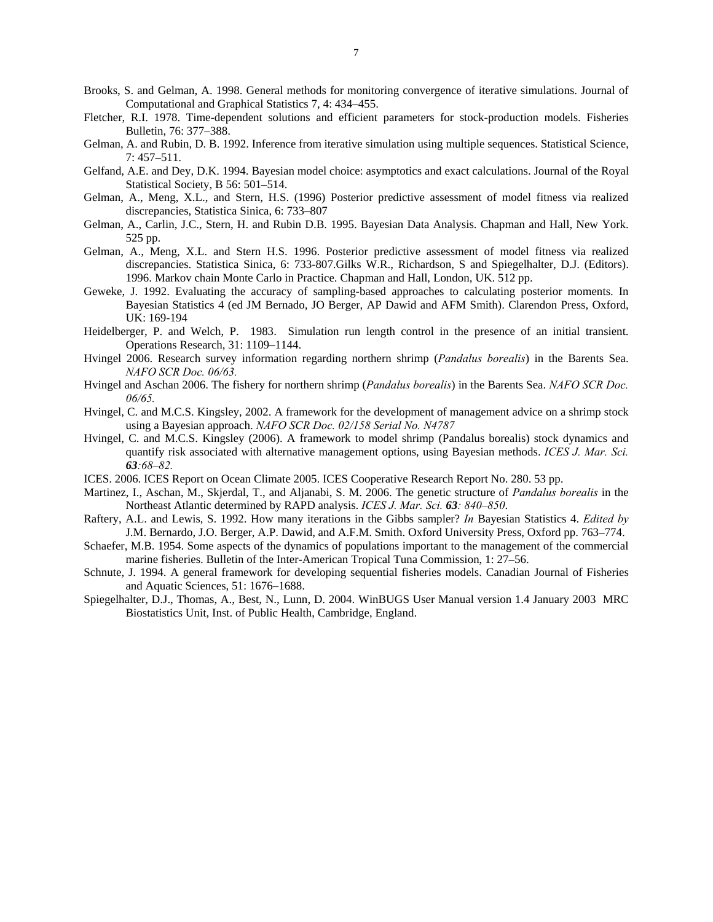- Brooks, S. and Gelman, A. 1998. General methods for monitoring convergence of iterative simulations. Journal of Computational and Graphical Statistics 7, 4: 434–455.
- Fletcher, R.I. 1978. Time-dependent solutions and efficient parameters for stock-production models. Fisheries Bulletin, 76: 377–388.
- Gelman, A. and Rubin, D. B. 1992. Inference from iterative simulation using multiple sequences. Statistical Science, 7: 457–511.
- Gelfand, A.E. and Dey, D.K. 1994. Bayesian model choice: asymptotics and exact calculations. Journal of the Royal Statistical Society, B 56: 501–514.
- Gelman, A., Meng, X.L., and Stern, H.S. (1996) Posterior predictive assessment of model fitness via realized discrepancies, Statistica Sinica, 6: 733–807
- Gelman, A., Carlin, J.C., Stern, H. and Rubin D.B. 1995. Bayesian Data Analysis. Chapman and Hall, New York. 525 pp.
- Gelman, A., Meng, X.L. and Stern H.S. 1996. Posterior predictive assessment of model fitness via realized discrepancies. Statistica Sinica, 6: 733-807.Gilks W.R., Richardson, S and Spiegelhalter, D.J. (Editors). 1996. Markov chain Monte Carlo in Practice. Chapman and Hall, London, UK. 512 pp.
- Geweke, J. 1992. Evaluating the accuracy of sampling-based approaches to calculating posterior moments. In Bayesian Statistics 4 (ed JM Bernado, JO Berger, AP Dawid and AFM Smith). Clarendon Press, Oxford, UK: 169-194
- Heidelberger, P. and Welch, P. 1983. Simulation run length control in the presence of an initial transient. Operations Research, 31: 1109–1144.
- Hvingel 2006. Research survey information regarding northern shrimp (*Pandalus borealis*) in the Barents Sea. *NAFO SCR Doc. 06/63.*
- Hvingel and Aschan 2006. The fishery for northern shrimp (*Pandalus borealis*) in the Barents Sea. *NAFO SCR Doc. 06/65.*
- Hvingel, C. and M.C.S. Kingsley, 2002. A framework for the development of management advice on a shrimp stock using a Bayesian approach. *NAFO SCR Doc. 02/158 Serial No. N4787*
- Hvingel, C. and M.C.S. Kingsley (2006). A framework to model shrimp (Pandalus borealis) stock dynamics and quantify risk associated with alternative management options, using Bayesian methods. *ICES J. Mar. Sci. 63:68–82.*
- ICES. 2006. ICES Report on Ocean Climate 2005. ICES Cooperative Research Report No. 280. 53 pp.
- Martinez, I., Aschan, M., Skjerdal, T., and Aljanabi, S. M. 2006. The genetic structure of *Pandalus borealis* in the Northeast Atlantic determined by RAPD analysis. *ICES J. Mar. Sci. 63: 840–850*.
- Raftery, A.L. and Lewis, S. 1992. How many iterations in the Gibbs sampler? *In* Bayesian Statistics 4. *Edited by* J.M. Bernardo, J.O. Berger, A.P. Dawid, and A.F.M. Smith. Oxford University Press, Oxford pp. 763–774.
- Schaefer, M.B. 1954. Some aspects of the dynamics of populations important to the management of the commercial marine fisheries. Bulletin of the Inter-American Tropical Tuna Commission, 1: 27–56.
- Schnute, J. 1994. A general framework for developing sequential fisheries models. Canadian Journal of Fisheries and Aquatic Sciences, 51: 1676–1688.
- Spiegelhalter, D.J., Thomas, A., Best, N., Lunn, D. 2004. WinBUGS User Manual version 1.4 January 2003 MRC Biostatistics Unit, Inst. of Public Health, Cambridge, England.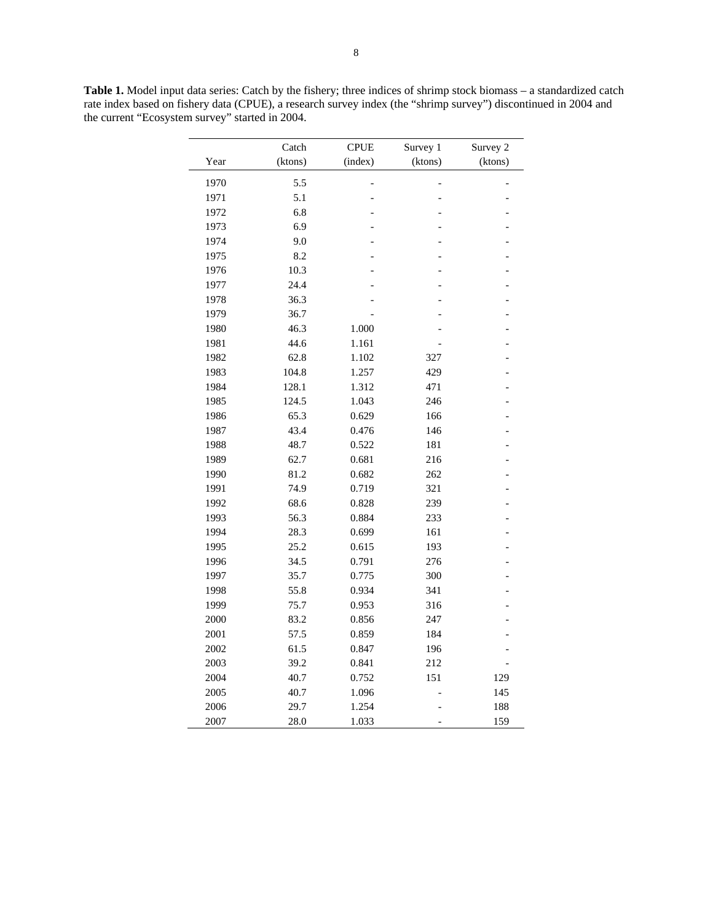|      | Catch   | <b>CPUE</b> | Survey 1 | Survey 2 |
|------|---------|-------------|----------|----------|
| Year | (ktons) | (index)     | (ktons)  | (ktons)  |
| 1970 | 5.5     |             |          |          |
| 1971 | 5.1     |             |          |          |
| 1972 | 6.8     |             |          |          |
| 1973 | 6.9     |             |          |          |
| 1974 | 9.0     |             |          |          |
| 1975 | 8.2     |             |          |          |
| 1976 | 10.3    |             |          |          |
| 1977 | 24.4    |             |          |          |
| 1978 | 36.3    |             |          |          |
| 1979 | 36.7    |             |          |          |
| 1980 | 46.3    | 1.000       |          |          |
| 1981 | 44.6    | 1.161       |          |          |
| 1982 | 62.8    | 1.102       | 327      |          |
| 1983 | 104.8   | 1.257       | 429      |          |
| 1984 | 128.1   | 1.312       | 471      |          |
| 1985 | 124.5   | 1.043       | 246      |          |
| 1986 | 65.3    | 0.629       | 166      |          |
| 1987 | 43.4    | 0.476       | 146      |          |
| 1988 | 48.7    | 0.522       | 181      |          |
| 1989 | 62.7    | 0.681       | 216      |          |
| 1990 | 81.2    | 0.682       | 262      |          |
| 1991 | 74.9    | 0.719       | 321      |          |
| 1992 | 68.6    | 0.828       | 239      |          |
| 1993 | 56.3    | 0.884       | 233      |          |
| 1994 | 28.3    | 0.699       | 161      |          |
| 1995 | 25.2    | 0.615       | 193      |          |
| 1996 | 34.5    | 0.791       | 276      |          |
| 1997 | 35.7    | 0.775       | 300      |          |
| 1998 | 55.8    | 0.934       | 341      |          |
| 1999 | 75.7    | 0.953       | 316      |          |
| 2000 | 83.2    | 0.856       | 247      |          |
| 2001 | 57.5    | 0.859       | 184      |          |
| 2002 | 61.5    | 0.847       | 196      |          |
| 2003 | 39.2    | 0.841       | 212      |          |
| 2004 | 40.7    | 0.752       | 151      | 129      |
| 2005 | 40.7    | 1.096       |          | 145      |
| 2006 | 29.7    | 1.254       |          | 188      |
| 2007 | 28.0    | 1.033       |          | 159      |

**Table 1.** Model input data series: Catch by the fishery; three indices of shrimp stock biomass – a standardized catch rate index based on fishery data (CPUE), a research survey index (the "shrimp survey") discontinued in 2004 and the current "Ecosystem survey" started in 2004.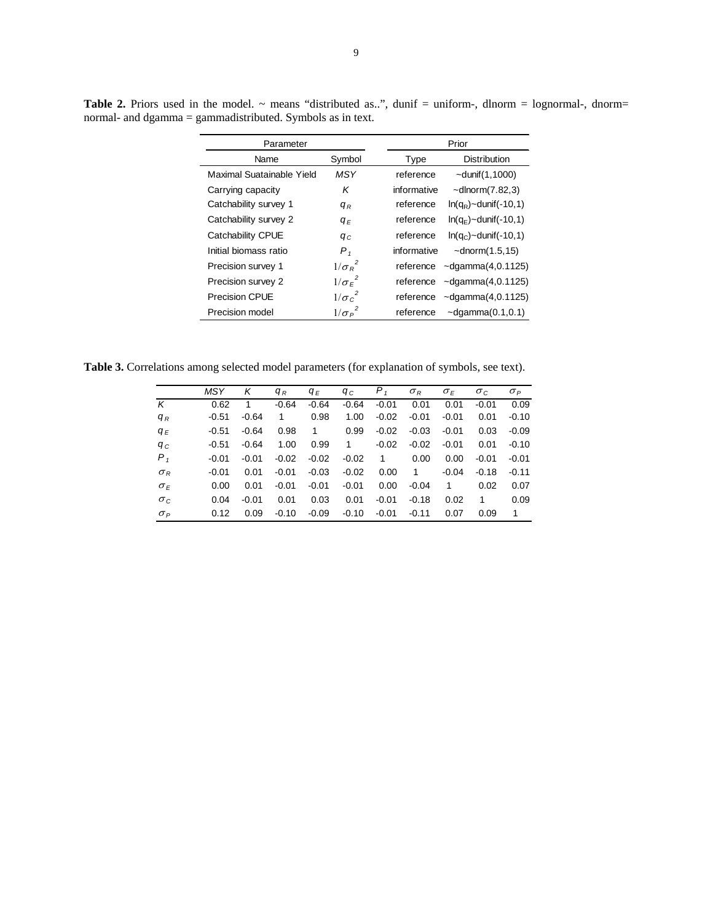| Parameter                 |                | Prior       |                             |  |
|---------------------------|----------------|-------------|-----------------------------|--|
| Name                      | Symbol         | Type        | <b>Distribution</b>         |  |
| Maximal Suatainable Yield | MSY            | reference   | $\sim$ dunif $(1,1000)$     |  |
| Carrying capacity         | Κ              | informative | $\sim$ dlnorm $(7.82,3)$    |  |
| Catchability survey 1     | $q_R$          | reference   | $ln(q_R)$ ~dunif(-10,1)     |  |
| Catchability survey 2     | $q_F$          | reference   | $ln(q_F)$ ~dunif(-10,1)     |  |
| Catchability CPUE         | $q_c$          | reference   | $ln(q_c)$ ~dunif(-10,1)     |  |
| Initial biomass ratio     | $P_{1}$        | informative | $\sim$ dnorm $(1.5, 15)$    |  |
| Precision survey 1        | $1/\sigma_R^2$ | reference   | $\sim$ dgamma $(4, 0.1125)$ |  |
| Precision survey 2        | $1/\sigma_F^2$ | reference   | $\sim$ dgamma $(4, 0.1125)$ |  |
| <b>Precision CPUE</b>     | $1/\sigma_c^2$ | reference   | $\neg$ dgamma $(4, 0.1125)$ |  |
| Precision model           | $1/\sigma_P^2$ | reference   | $\neg$ dgamma $(0.1, 0.1)$  |  |

Table 2. Priors used in the model. ~ means "distributed as..", dunif = uniform-, dlnorm = lognormal-, dnorm= normal- and dgamma = gammadistributed. Symbols as in text.

**Table 3.** Correlations among selected model parameters (for explanation of symbols, see text).

|            | <b>MSY</b> | Κ       | $q_R$   | $q_F$   | qс      | $P_{1}$ | $\sigma_R$   | $\sigma_F$ | $\sigma_c$ | $\sigma_P$ |
|------------|------------|---------|---------|---------|---------|---------|--------------|------------|------------|------------|
| К          | 0.62       | 1       | $-0.64$ | $-0.64$ | $-0.64$ | $-0.01$ | 0.01         | 0.01       | $-0.01$    | 0.09       |
| $q_R$      | $-0.51$    | $-0.64$ | 1       | 0.98    | 1.00    | $-0.02$ | $-0.01$      | $-0.01$    | 0.01       | $-0.10$    |
| $q_E$      | -0.51      | $-0.64$ | 0.98    | 1       | 0.99    | $-0.02$ | $-0.03$      | $-0.01$    | 0.03       | $-0.09$    |
| $q_c$      | $-0.51$    | $-0.64$ | 1.00    | 0.99    | 1       | $-0.02$ | $-0.02$      | $-0.01$    | 0.01       | $-0.10$    |
| $P_{1}$    | $-0.01$    | $-0.01$ | $-0.02$ | $-0.02$ | $-0.02$ | 1       | 0.00         | 0.00       | $-0.01$    | $-0.01$    |
| $\sigma_R$ | $-0.01$    | 0.01    | $-0.01$ | $-0.03$ | $-0.02$ | 0.00    | $\mathbf{1}$ | $-0.04$    | $-0.18$    | $-0.11$    |
| $\sigma_F$ | 0.00       | 0.01    | $-0.01$ | $-0.01$ | $-0.01$ | 0.00    | $-0.04$      | 1          | 0.02       | 0.07       |
| $\sigma_c$ | 0.04       | $-0.01$ | 0.01    | 0.03    | 0.01    | $-0.01$ | $-0.18$      | 0.02       | 1          | 0.09       |
| $\sigma_P$ | 0.12       | 0.09    | $-0.10$ | $-0.09$ | $-0.10$ | $-0.01$ | $-0.11$      | 0.07       | 0.09       | 1          |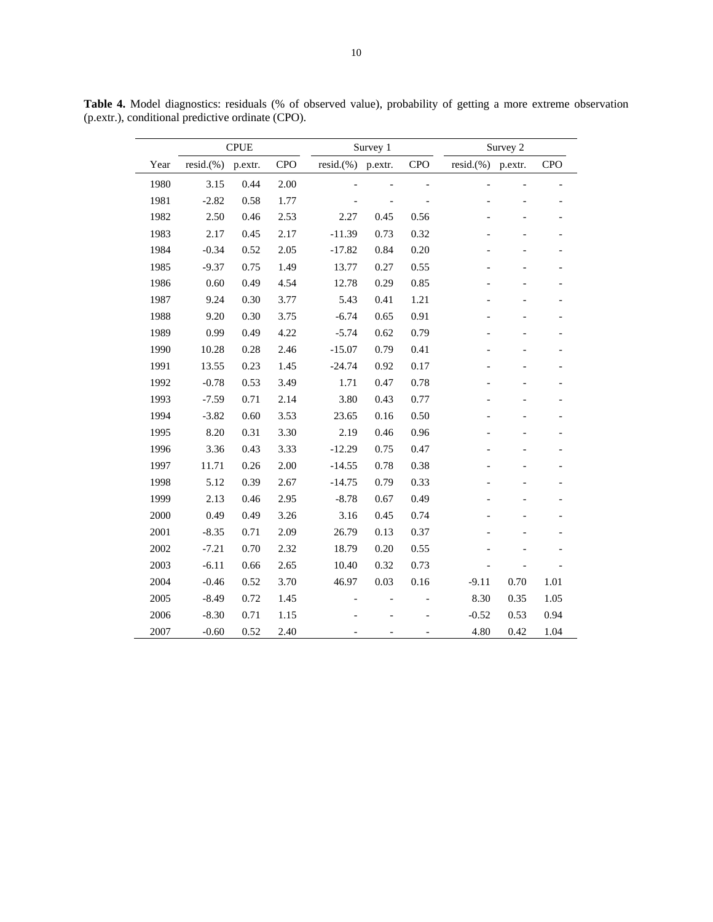|      |              | <b>CPUE</b> |            | Survey 1     |                          |                | Survey 2     |         |                |  |
|------|--------------|-------------|------------|--------------|--------------------------|----------------|--------------|---------|----------------|--|
| Year | $resid.$ (%) | p.extr.     | <b>CPO</b> | $resid.$ (%) | p.extr.                  | <b>CPO</b>     | $resid.$ (%) | p.extr. | <b>CPO</b>     |  |
| 1980 | 3.15         | 0.44        | 2.00       |              |                          | $\blacksquare$ |              |         |                |  |
| 1981 | $-2.82$      | 0.58        | 1.77       |              |                          |                |              |         |                |  |
| 1982 | 2.50         | 0.46        | 2.53       | 2.27         | 0.45                     | 0.56           |              |         |                |  |
| 1983 | 2.17         | 0.45        | 2.17       | $-11.39$     | 0.73                     | 0.32           |              |         |                |  |
| 1984 | $-0.34$      | 0.52        | 2.05       | $-17.82$     | 0.84                     | 0.20           |              |         |                |  |
| 1985 | $-9.37$      | 0.75        | 1.49       | 13.77        | 0.27                     | 0.55           |              |         |                |  |
| 1986 | 0.60         | 0.49        | 4.54       | 12.78        | 0.29                     | 0.85           |              |         | $\overline{a}$ |  |
| 1987 | 9.24         | 0.30        | 3.77       | 5.43         | 0.41                     | 1.21           |              |         |                |  |
| 1988 | 9.20         | 0.30        | 3.75       | $-6.74$      | 0.65                     | 0.91           |              |         |                |  |
| 1989 | 0.99         | 0.49        | 4.22       | $-5.74$      | 0.62                     | 0.79           |              |         |                |  |
| 1990 | 10.28        | 0.28        | 2.46       | $-15.07$     | 0.79                     | 0.41           |              |         |                |  |
| 1991 | 13.55        | 0.23        | 1.45       | $-24.74$     | 0.92                     | 0.17           |              |         |                |  |
| 1992 | $-0.78$      | 0.53        | 3.49       | 1.71         | 0.47                     | 0.78           |              |         |                |  |
| 1993 | $-7.59$      | 0.71        | 2.14       | 3.80         | 0.43                     | 0.77           |              |         |                |  |
| 1994 | $-3.82$      | 0.60        | 3.53       | 23.65        | 0.16                     | 0.50           |              |         |                |  |
| 1995 | 8.20         | 0.31        | 3.30       | 2.19         | 0.46                     | 0.96           |              |         |                |  |
| 1996 | 3.36         | 0.43        | 3.33       | $-12.29$     | 0.75                     | 0.47           |              |         |                |  |
| 1997 | 11.71        | 0.26        | 2.00       | $-14.55$     | 0.78                     | 0.38           |              |         |                |  |
| 1998 | 5.12         | 0.39        | 2.67       | $-14.75$     | 0.79                     | 0.33           |              |         |                |  |
| 1999 | 2.13         | 0.46        | 2.95       | $-8.78$      | 0.67                     | 0.49           |              |         |                |  |
| 2000 | 0.49         | 0.49        | 3.26       | 3.16         | 0.45                     | 0.74           |              |         |                |  |
| 2001 | $-8.35$      | 0.71        | 2.09       | 26.79        | 0.13                     | 0.37           |              |         |                |  |
| 2002 | $-7.21$      | 0.70        | 2.32       | 18.79        | 0.20                     | 0.55           |              |         |                |  |
| 2003 | $-6.11$      | 0.66        | 2.65       | 10.40        | 0.32                     | 0.73           |              |         |                |  |
| 2004 | $-0.46$      | 0.52        | 3.70       | 46.97        | 0.03                     | 0.16           | $-9.11$      | 0.70    | 1.01           |  |
| 2005 | $-8.49$      | 0.72        | 1.45       |              |                          |                | 8.30         | 0.35    | 1.05           |  |
| 2006 | $-8.30$      | 0.71        | 1.15       |              |                          |                | $-0.52$      | 0.53    | 0.94           |  |
| 2007 | $-0.60$      | 0.52        | 2.40       |              | $\overline{\phantom{0}}$ | $\overline{a}$ | 4.80         | 0.42    | 1.04           |  |

**Table 4.** Model diagnostics: residuals (% of observed value), probability of getting a more extreme observation (p.extr.), conditional predictive ordinate (CPO).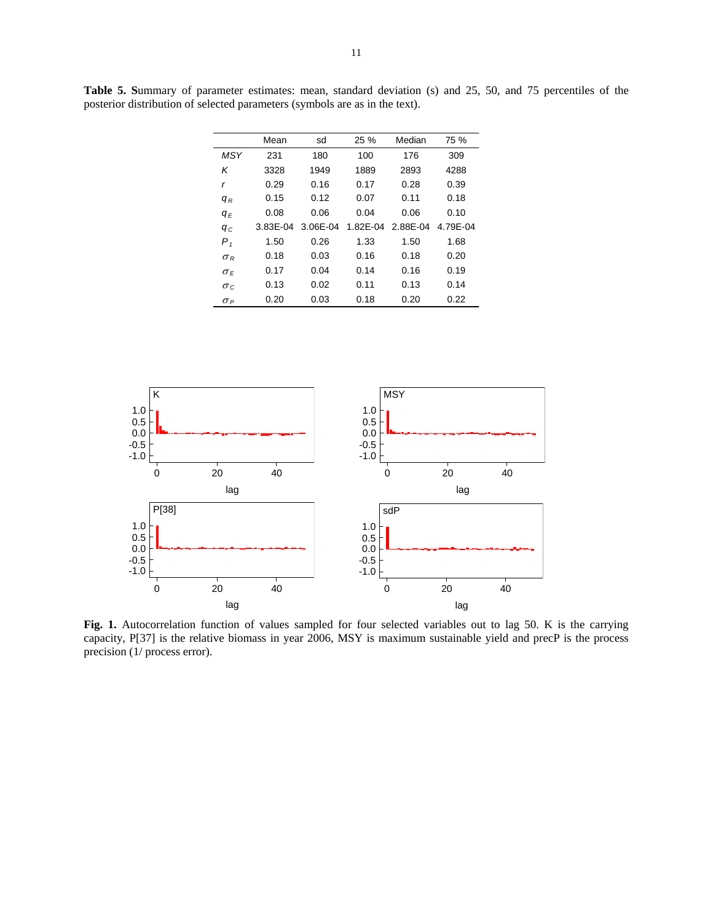|            | Mean     | sd       | 25%      | Median   | 75 %     |
|------------|----------|----------|----------|----------|----------|
| MSY        | 231      | 180      | 100      | 176      | 309      |
| Κ          | 3328     | 1949     | 1889     | 2893     | 4288     |
| r          | 0.29     | 0.16     | 0.17     | 0.28     | 0.39     |
| $q_R$      | 0.15     | 0.12     | 0.07     | 0.11     | 0.18     |
| $q_F$      | 0.08     | 0.06     | 0.04     | 0.06     | 0.10     |
| $q_c$      | 3.83E-04 | 3.06E-04 | 1.82F-04 | 2.88E-04 | 4.79E-04 |
| $P_{1}$    | 1.50     | 0.26     | 1.33     | 1.50     | 1.68     |
| $\sigma_R$ | 0.18     | 0.03     | 0.16     | 0.18     | 0.20     |
| $\sigma_F$ | 0.17     | 0.04     | 0.14     | 0.16     | 0.19     |
| $\sigma c$ | 0.13     | 0.02     | 0.11     | 0.13     | 0.14     |
| $\sigma_P$ | 0.20     | 0.03     | 0.18     | 0.20     | 0.22     |

**Table 5. S**ummary of parameter estimates: mean, standard deviation (s) and 25, 50, and 75 percentiles of the posterior distribution of selected parameters (symbols are as in the text).



**Fig. 1.** Autocorrelation function of values sampled for four selected variables out to lag 50. K is the carrying capacity, P[37] is the relative biomass in year 2006, MSY is maximum sustainable yield and precP is the process precision (1/ process error).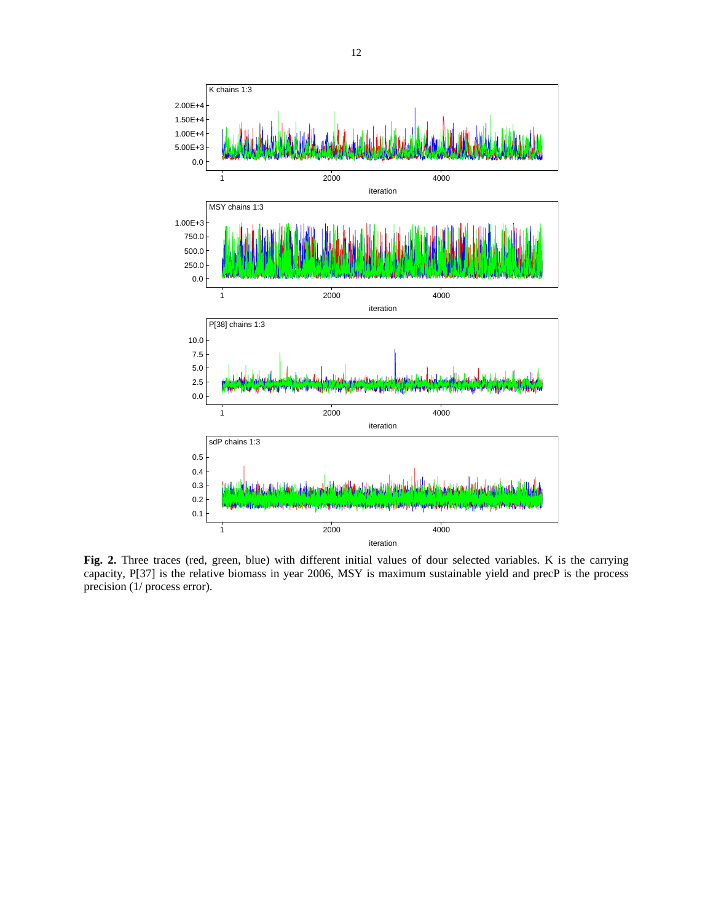

Fig. 2. Three traces (red, green, blue) with different initial values of dour selected variables. K is the carrying capacity, P[37] is the relative biomass in year 2006, MSY is maximum sustainable yield and precP is the process precision (1/ process error).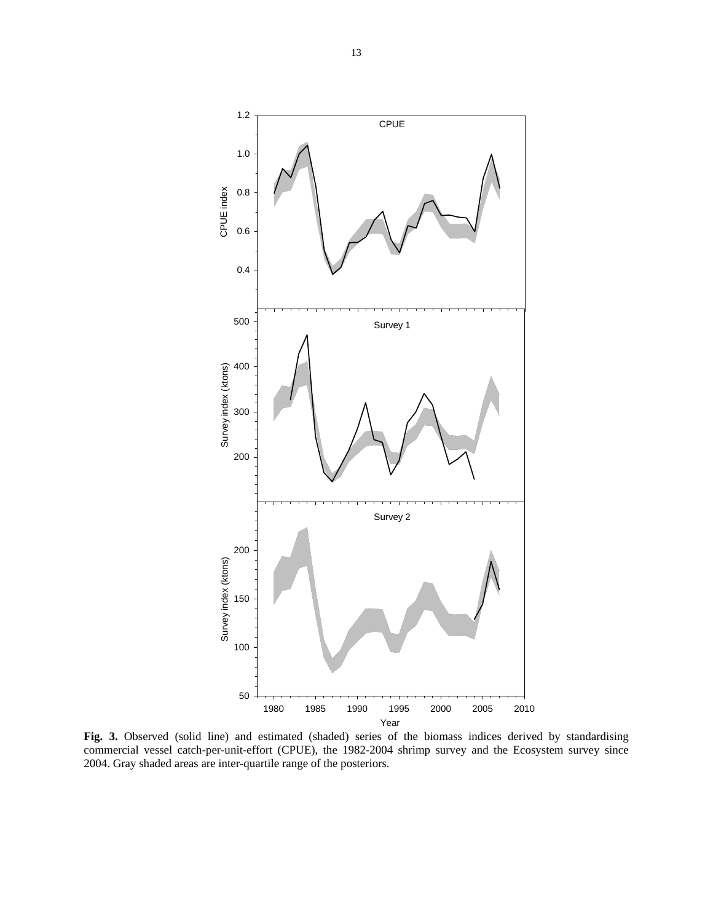

Fig. 3. Observed (solid line) and estimated (shaded) series of the biomass indices derived by standardising commercial vessel catch-per-unit-effort (CPUE), the 1982-2004 shrimp survey and the Ecosystem survey since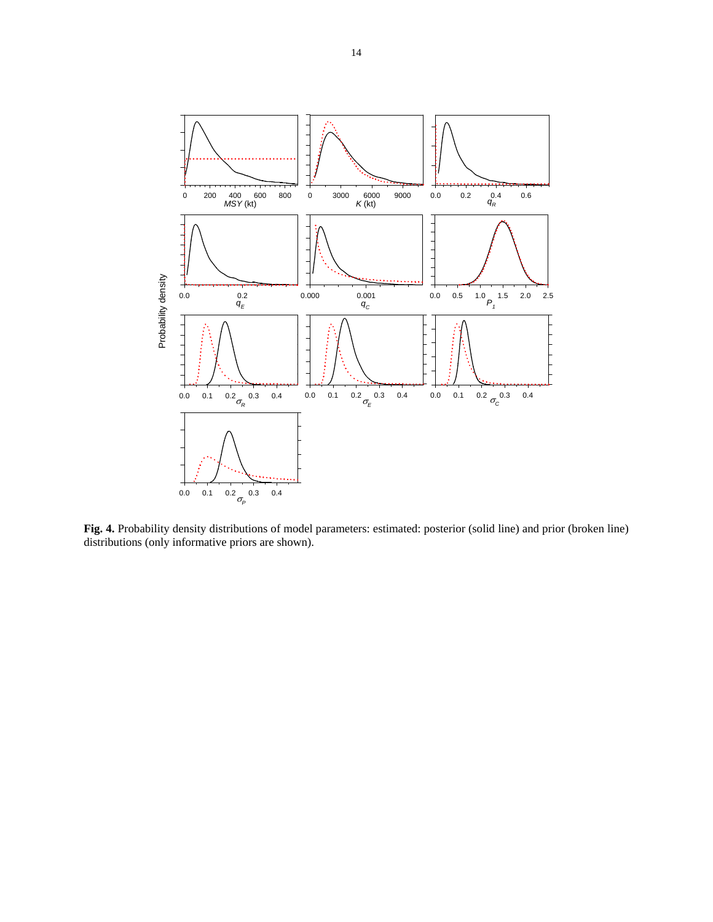

**Fig. 4.** Probability density distributions of model parameters: estimated: posterior (solid line) and prior (broken line)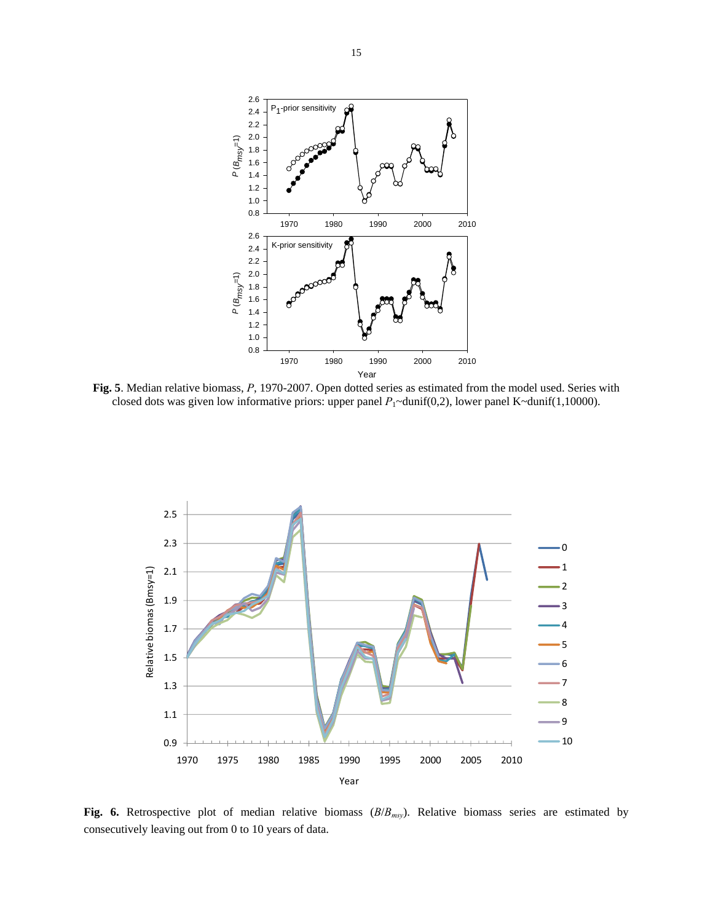

**Fig. 5**. Median relative biomass, *P*, 1970-2007. Open dotted series as estimated from the model used. Series with closed dots was given low informative priors: upper panel *P*<sub>1</sub>~dunif(0,2), lower panel K~dunif(1,10000).



**Fig. 6.** Retrospective plot of median relative biomass (*B*/*Bmsy*). Relative biomass series are estimated by consecutively leaving out from 0 to 10 years of data.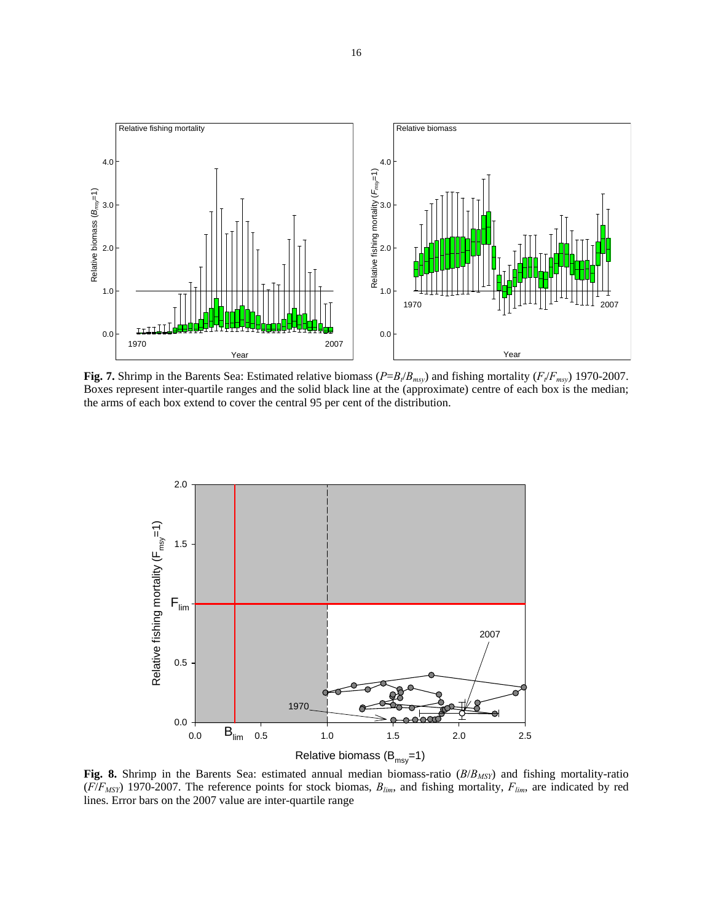

**Fig. 7.** Shrimp in the Barents Sea: Estimated relative biomass ( $P = B_t/B_{msy}$ ) and fishing mortality ( $F_t/F_{msy}$ ) 1970-2007. Boxes represent inter-quartile ranges and the solid black line at the (approximate) centre of each box is the median; the arms of each box extend to cover the central 95 per cent of the distribution.



**Fig. 8.** Shrimp in the Barents Sea: estimated annual median biomass-ratio (*B*/*BMSY*) and fishing mortality-ratio  $(F/F_{MSY})$  1970-2007. The reference points for stock biomas,  $B_{lim}$ , and fishing mortality,  $F_{lim}$ , are indicated by red lines. Error bars on the 2007 value are inter-quartile range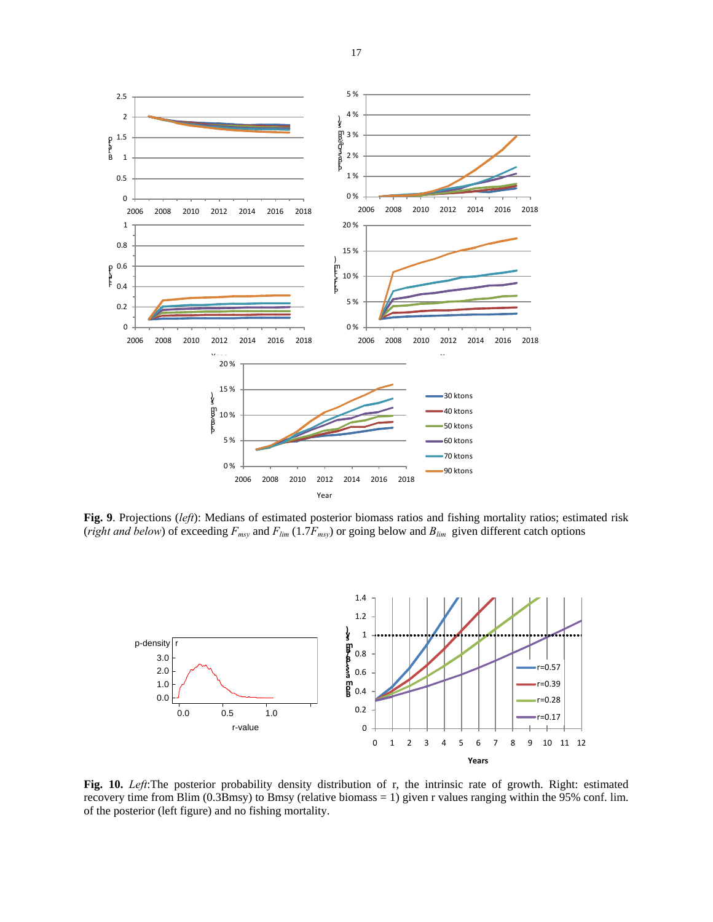

**Fig. 9**. Projections (*left*): Medians of estimated posterior biomass ratios and fishing mortality ratios; estimated risk (*right and below*) of exceeding  $F_{msy}$  and  $F_{lim}$  (1.7 $F_{msy}$ ) or going below and  $B_{lim}$  given different catch options



**Fig. 10.** *Left*:The posterior probability density distribution of r, the intrinsic rate of growth. Right: estimated recovery time from Blim (0.3Bmsy) to Bmsy (relative biomass = 1) given r values ranging within the 95% conf. lim. of the posterior (left figure) and no fishing mortality.